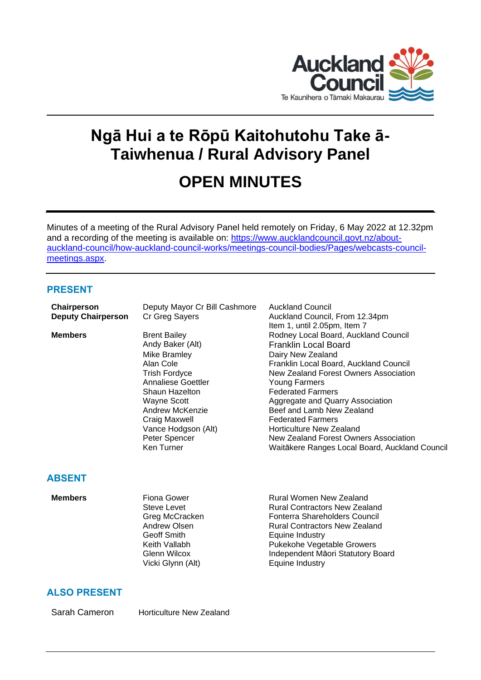

# **Ngā Hui a te Rōpū Kaitohutohu Take ā-Taiwhenua / Rural Advisory Panel**

# **OPEN MINUTES**

Minutes of a meeting of the Rural Advisory Panel held remotely on Friday, 6 May 2022 at 12.32pm and a recording of the meeting is available on: [https://www.aucklandcouncil.govt.nz/about](https://www.aucklandcouncil.govt.nz/about-auckland-council/how-auckland-council-works/meetings-council-bodies/Pages/webcasts-council-meetings.aspx)[auckland-council/how-auckland-council-works/meetings-council-bodies/Pages/webcasts-council](https://www.aucklandcouncil.govt.nz/about-auckland-council/how-auckland-council-works/meetings-council-bodies/Pages/webcasts-council-meetings.aspx)[meetings.aspx.](https://www.aucklandcouncil.govt.nz/about-auckland-council/how-auckland-council-works/meetings-council-bodies/Pages/webcasts-council-meetings.aspx)

# **PRESENT**

| Chairperson               | Deputy Mayor Cr Bill Cashmore | <b>Auckland Council</b>                        |
|---------------------------|-------------------------------|------------------------------------------------|
| <b>Deputy Chairperson</b> | Cr Greg Sayers                | Auckland Council, From 12.34pm                 |
|                           |                               | Item 1, until 2.05pm, Item 7                   |
| <b>Members</b>            | <b>Brent Bailey</b>           | Rodney Local Board, Auckland Council           |
|                           | Andy Baker (Alt)              | <b>Franklin Local Board</b>                    |
|                           | Mike Bramley                  | Dairy New Zealand                              |
|                           | Alan Cole                     | Franklin Local Board, Auckland Council         |
|                           | <b>Trish Fordyce</b>          | New Zealand Forest Owners Association          |
|                           | Annaliese Goettler            | Young Farmers                                  |
|                           | <b>Shaun Hazelton</b>         | <b>Federated Farmers</b>                       |
|                           | Wayne Scott                   | Aggregate and Quarry Association               |
|                           | Andrew McKenzie               | Beef and Lamb New Zealand                      |
|                           | Craig Maxwell                 | <b>Federated Farmers</b>                       |
|                           | Vance Hodgson (Alt)           | Horticulture New Zealand                       |
|                           | Peter Spencer                 | New Zealand Forest Owners Association          |
|                           | Ken Turner                    | Waitākere Ranges Local Board, Auckland Council |
|                           |                               |                                                |
|                           |                               |                                                |
| ABSENT                    |                               |                                                |
|                           |                               |                                                |

| Members | Fiona Gower       | Rural Women New Zealand              |
|---------|-------------------|--------------------------------------|
|         | Steve Levet       | <b>Rural Contractors New Zealand</b> |
|         | Greg McCracken    | Fonterra Shareholders Council        |
|         | Andrew Olsen      | <b>Rural Contractors New Zealand</b> |
|         | Geoff Smith       | Equine Industry                      |
|         | Keith Vallabh     | Pukekohe Vegetable Growers           |
|         | Glenn Wilcox      | Independent Māori Statutory Board    |
|         | Vicki Glynn (Alt) | Equine Industry                      |
|         |                   |                                      |

# **ALSO PRESENT**

Sarah Cameron Horticulture New Zealand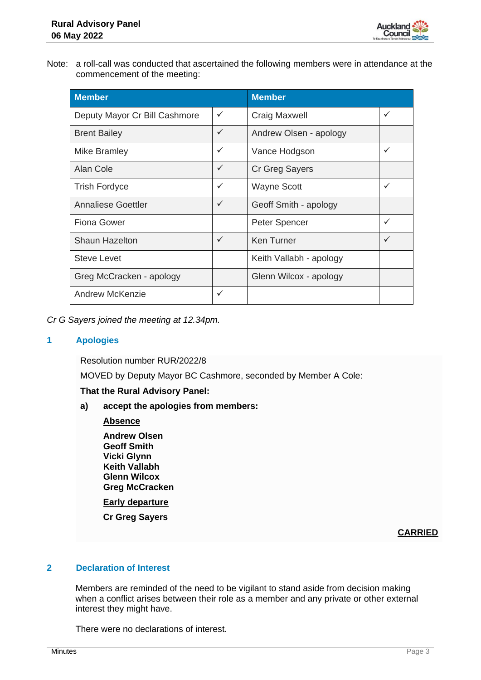

Note: a roll-call was conducted that ascertained the following members were in attendance at the commencement of the meeting:

| <b>Member</b>                 | <b>Member</b> |                         |              |
|-------------------------------|---------------|-------------------------|--------------|
| Deputy Mayor Cr Bill Cashmore | ✓             | <b>Craig Maxwell</b>    | ✓            |
| <b>Brent Bailey</b>           | $\checkmark$  | Andrew Olsen - apology  |              |
| Mike Bramley                  | ✓             | Vance Hodgson           | $\checkmark$ |
| Alan Cole                     | $\checkmark$  | Cr Greg Sayers          |              |
| <b>Trish Fordyce</b>          | $\checkmark$  | <b>Wayne Scott</b>      | $\checkmark$ |
| <b>Annaliese Goettler</b>     | ✓             | Geoff Smith - apology   |              |
| <b>Fiona Gower</b>            |               | Peter Spencer           | $\checkmark$ |
| <b>Shaun Hazelton</b>         | ✓             | <b>Ken Turner</b>       | ✓            |
| <b>Steve Levet</b>            |               | Keith Vallabh - apology |              |
| Greg McCracken - apology      |               | Glenn Wilcox - apology  |              |
| Andrew McKenzie               | ✓             |                         |              |

*Cr G Sayers joined the meeting at 12.34pm.*

# **1 Apologies**

Resolution number RUR/2022/8

MOVED by Deputy Mayor BC Cashmore, seconded by Member A Cole:

#### **That the Rural Advisory Panel:**

**a) accept the apologies from members:**

#### **Absence**

**Andrew Olsen Geoff Smith Vicki Glynn Keith Vallabh Glenn Wilcox Greg McCracken**

**Early departure**

**Cr Greg Sayers**

# **CARRIED**

# **2 Declaration of Interest**

Members are reminded of the need to be vigilant to stand aside from decision making when a conflict arises between their role as a member and any private or other external interest they might have.

There were no declarations of interest.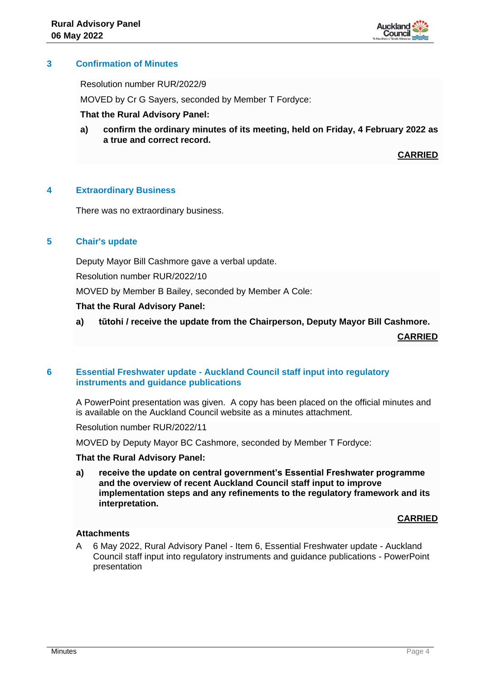

# **3 Confirmation of Minutes**

Resolution number RUR/2022/9

MOVED by Cr G Sayers, seconded by Member T Fordyce:

#### **That the Rural Advisory Panel:**

**a) confirm the ordinary minutes of its meeting, held on Friday, 4 February 2022 as a true and correct record.**

**CARRIED**

# **4 Extraordinary Business**

There was no extraordinary business.

# **5 Chair's update**

Deputy Mayor Bill Cashmore gave a verbal update.

Resolution number RUR/2022/10

MOVED by Member B Bailey, seconded by Member A Cole:

#### **That the Rural Advisory Panel:**

**a) tūtohi / receive the update from the Chairperson, Deputy Mayor Bill Cashmore.**

**CARRIED**

# **6 Essential Freshwater update - Auckland Council staff input into regulatory instruments and guidance publications**

A PowerPoint presentation was given. A copy has been placed on the official minutes and is available on the Auckland Council website as a minutes attachment.

Resolution number RUR/2022/11

MOVED by Deputy Mayor BC Cashmore, seconded by Member T Fordyce:

#### **That the Rural Advisory Panel:**

**a) receive the update on central government's Essential Freshwater programme and the overview of recent Auckland Council staff input to improve implementation steps and any refinements to the regulatory framework and its interpretation.**

#### **CARRIED**

# **Attachments**

A 6 May 2022, Rural Advisory Panel - Item 6, Essential Freshwater update - Auckland Council staff input into regulatory instruments and guidance publications - PowerPoint presentation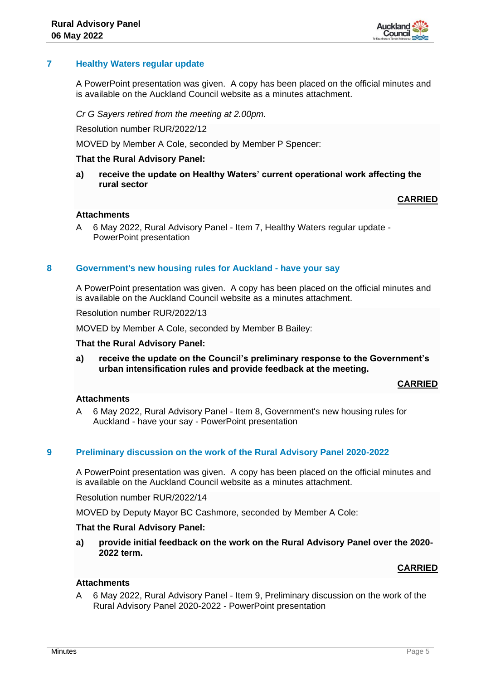

# **7 Healthy Waters regular update**

A PowerPoint presentation was given. A copy has been placed on the official minutes and is available on the Auckland Council website as a minutes attachment.

*Cr G Sayers retired from the meeting at 2.00pm.*

Resolution number RUR/2022/12

MOVED by Member A Cole, seconded by Member P Spencer:

#### **That the Rural Advisory Panel:**

**a) receive the update on Healthy Waters' current operational work affecting the rural sector**

**CARRIED**

#### **Attachments**

A 6 May 2022, Rural Advisory Panel - Item 7, Healthy Waters regular update - PowerPoint presentation

#### **8 Government's new housing rules for Auckland - have your say**

A PowerPoint presentation was given. A copy has been placed on the official minutes and is available on the Auckland Council website as a minutes attachment.

Resolution number RUR/2022/13

MOVED by Member A Cole, seconded by Member B Bailey:

#### **That the Rural Advisory Panel:**

**a) receive the update on the Council's preliminary response to the Government's urban intensification rules and provide feedback at the meeting.**

**CARRIED**

#### **Attachments**

A 6 May 2022, Rural Advisory Panel - Item 8, Government's new housing rules for Auckland - have your say - PowerPoint presentation

# **9 Preliminary discussion on the work of the Rural Advisory Panel 2020-2022**

A PowerPoint presentation was given. A copy has been placed on the official minutes and is available on the Auckland Council website as a minutes attachment.

Resolution number RUR/2022/14

MOVED by Deputy Mayor BC Cashmore, seconded by Member A Cole:

#### **That the Rural Advisory Panel:**

**a) provide initial feedback on the work on the Rural Advisory Panel over the 2020- 2022 term.**

#### **CARRIED**

# **Attachments**

A 6 May 2022, Rural Advisory Panel - Item 9, Preliminary discussion on the work of the Rural Advisory Panel 2020-2022 - PowerPoint presentation